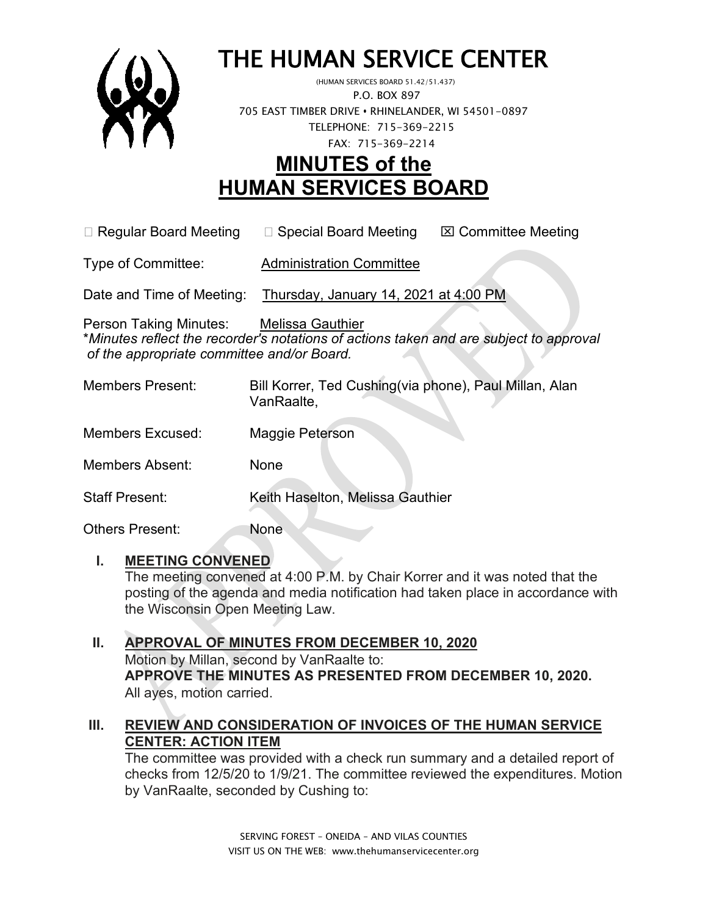

# THE HUMAN SERVICE CENTER

 P.O. BOX 897 705 EAST TIMBER DRIVE **•** RHINELANDER, WI 54501-0897 TELEPHONE: 715-369-2215 FAX: 715-369-2214

# **MINUTES of the HUMAN SERVICES BOARD**

 $\Box$  Regular Board Meeting  $\Box$  Special Board Meeting  $\Box$  Committee Meeting

Type of Committee: Administration Committee

Date and Time of Meeting: Thursday, January 14, 2021 at 4:00 PM

Person Taking Minutes: Melissa Gauthier \**Minutes reflect the recorder's notations of actions taken and are subject to approval of the appropriate committee and/or Board.*

| <b>Members Present:</b> | Bill Korrer, Ted Cushing(via phone), Paul Millan, Alan<br>VanRaalte, |
|-------------------------|----------------------------------------------------------------------|
| <b>Members Excused:</b> | Maggie Peterson                                                      |
| <b>Members Absent:</b>  | None                                                                 |
| <b>Staff Present:</b>   | Keith Haselton, Melissa Gauthier                                     |
| Others Present:         | None                                                                 |

#### **I. MEETING CONVENED**

The meeting convened at 4:00 P.M. by Chair Korrer and it was noted that the posting of the agenda and media notification had taken place in accordance with the Wisconsin Open Meeting Law.

#### **II. APPROVAL OF MINUTES FROM DECEMBER 10, 2020** Motion by Millan, second by VanRaalte to: **APPROVE THE MINUTES AS PRESENTED FROM DECEMBER 10, 2020.**  All ayes, motion carried.

#### **III. REVIEW AND CONSIDERATION OF INVOICES OF THE HUMAN SERVICE CENTER: ACTION ITEM**

The committee was provided with a check run summary and a detailed report of checks from 12/5/20 to 1/9/21. The committee reviewed the expenditures. Motion by VanRaalte, seconded by Cushing to: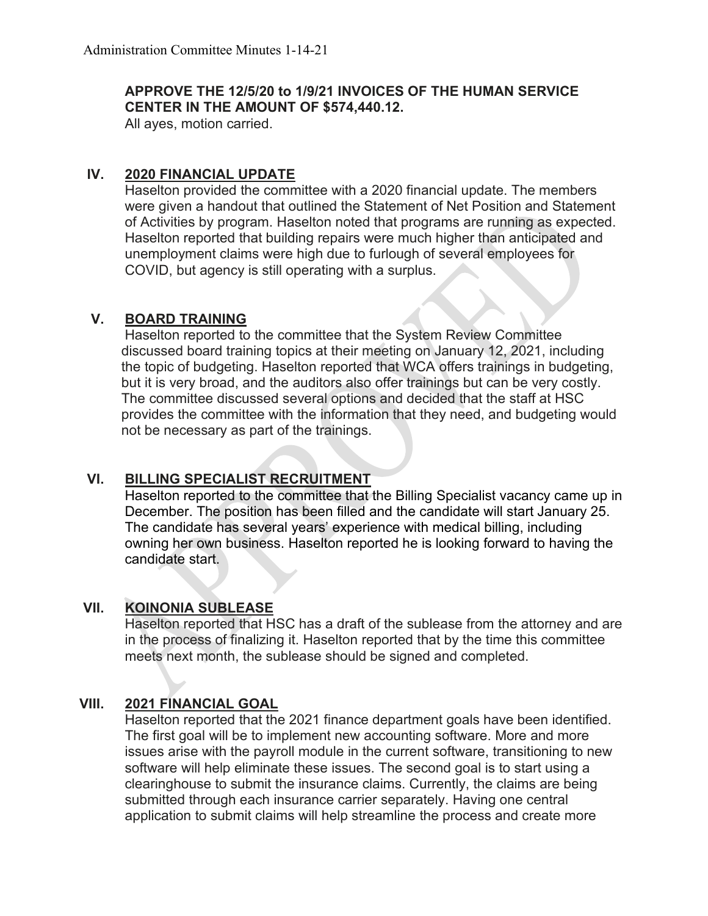#### **APPROVE THE 12/5/20 to 1/9/21 INVOICES OF THE HUMAN SERVICE CENTER IN THE AMOUNT OF \$574,440.12.**

All ayes, motion carried.

#### **IV. 2020 FINANCIAL UPDATE**

Haselton provided the committee with a 2020 financial update. The members were given a handout that outlined the Statement of Net Position and Statement of Activities by program. Haselton noted that programs are running as expected. Haselton reported that building repairs were much higher than anticipated and unemployment claims were high due to furlough of several employees for COVID, but agency is still operating with a surplus.

#### **V. BOARD TRAINING**

Haselton reported to the committee that the System Review Committee discussed board training topics at their meeting on January 12, 2021, including the topic of budgeting. Haselton reported that WCA offers trainings in budgeting, but it is very broad, and the auditors also offer trainings but can be very costly. The committee discussed several options and decided that the staff at HSC provides the committee with the information that they need, and budgeting would not be necessary as part of the trainings.

## **VI. BILLING SPECIALIST RECRUITMENT**

Haselton reported to the committee that the Billing Specialist vacancy came up in December. The position has been filled and the candidate will start January 25. The candidate has several years' experience with medical billing, including owning her own business. Haselton reported he is looking forward to having the candidate start.

#### **VII. KOINONIA SUBLEASE**

Haselton reported that HSC has a draft of the sublease from the attorney and are in the process of finalizing it. Haselton reported that by the time this committee meets next month, the sublease should be signed and completed.

#### **VIII. 2021 FINANCIAL GOAL**

Haselton reported that the 2021 finance department goals have been identified. The first goal will be to implement new accounting software. More and more issues arise with the payroll module in the current software, transitioning to new software will help eliminate these issues. The second goal is to start using a clearinghouse to submit the insurance claims. Currently, the claims are being submitted through each insurance carrier separately. Having one central application to submit claims will help streamline the process and create more